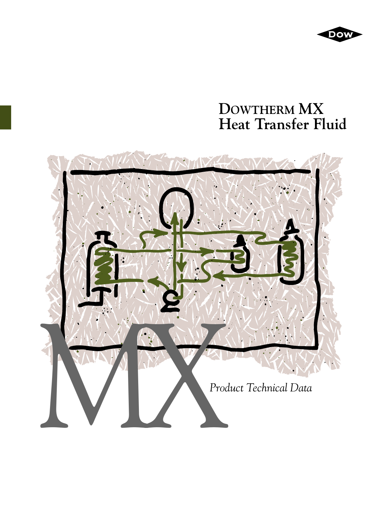

# **DOWTHERM MX Heat Transfer Fluid**

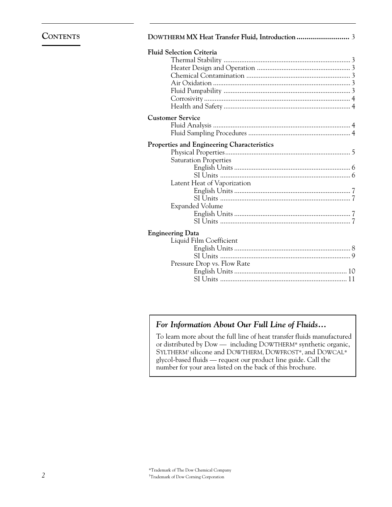## **CONTENTS**

| <b>Fluid Selection Criteria</b>            |  |
|--------------------------------------------|--|
|                                            |  |
|                                            |  |
|                                            |  |
|                                            |  |
|                                            |  |
|                                            |  |
|                                            |  |
| <b>Customer Service</b>                    |  |
|                                            |  |
|                                            |  |
| Properties and Engineering Characteristics |  |
|                                            |  |
| <b>Saturation Properties</b>               |  |
|                                            |  |
|                                            |  |
| Latent Heat of Vaporization                |  |
|                                            |  |
|                                            |  |
| <b>Expanded Volume</b>                     |  |
|                                            |  |
|                                            |  |
| <b>Engineering Data</b>                    |  |
| Liquid Film Coefficient                    |  |
|                                            |  |
|                                            |  |
| Pressure Drop vs. Flow Rate                |  |

## *For Information About Our Full Line of Fluids...*

To learn more about the full line of heat transfer fluids manufactured or distributed by Dow — including DOWTHERM\* synthetic organic, SYLTHERM† silicone and DOWTHERM, DOWFROST\*, and DOWCAL\* glycol-based fluids — request our product line guide. Call the number for your area listed on the back of this brochure.

English Units ................................................................ 10 SI Units ........................................................................ 11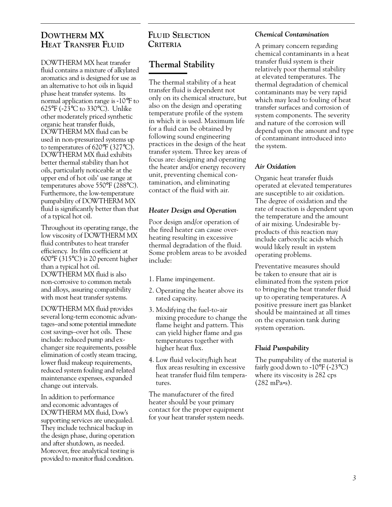## **DOWTHERM MX HEAT TRANSFER FLUID**

DOWTHERM MX heat transfer fluid contains a mixture of alkylated aromatics and is designed for use as an alternative to hot oils in liquid phase heat transfer systems. Its normal application range is -10°F to 625°F (-23°C to 330°C). Unlike other moderately priced synthetic organic heat transfer fluids, DOWTHERM MX fluid can be used in non-pressurized systems up to temperatures of 620°F (327°C). DOWTHERM MX fluid exhibits better thermal stability than hot oils, particularly noticeable at the upper end of hot oils' use range at temperatures above 550°F (288°C). Furthermore, the low-temperature pumpability of DOWTHERM MX fluid is significantly better than that of a typical hot oil.

Throughout its operating range, the low viscosity of DOWTHERM MX fluid contributes to heat transfer efficiency. Its film coefficient at 600°F (315°C) is 20 percent higher than a typical hot oil. DOWTHERM MX fluid is also non-corrosive to common metals and alloys, assuring compatibility with most heat transfer systems.

DOWTHERM MX fluid provides several long-term economic advantages–and some potential immediate cost savings–over hot oils. These include: reduced pump and exchanger size requirements, possible elimination of costly steam tracing, lower fluid makeup requirements, reduced system fouling and related maintenance expenses, expanded change out intervals.

In addition to performance and economic advantages of DOWTHERM MX fluid, Dow's supporting services are unequaled. They include technical backup in the design phase, during operation and after shutdown, as needed. Moreover, free analytical testing is provided to monitor fluid condition.

## **FLUID SELECTION CRITERIA**

# **Thermal Stability**

The thermal stability of a heat transfer fluid is dependent not only on its chemical structure, but also on the design and operating temperature profile of the system in which it is used. Maximum life for a fluid can be obtained by following sound engineering practices in the design of the heat transfer system. Three key areas of focus are: designing and operating the heater and/or energy recovery unit, preventing chemical contamination, and eliminating contact of the fluid with air.

#### *Heater Design and Operation*

Poor design and/or operation of the fired heater can cause overheating resulting in excessive thermal degradation of the fluid. Some problem areas to be avoided include:

- 1. Flame impingement.
- 2. Operating the heater above its rated capacity.
- 3. Modifying the fuel-to-air mixing procedure to change the flame height and pattern. This can yield higher flame and gas temperatures together with higher heat flux.
- 4. Low fluid velocity/high heat flux areas resulting in excessive heat transfer fluid film temperatures.

The manufacturer of the fired heater should be your primary contact for the proper equipment for your heat transfer system needs.

#### *Chemical Contamination*

A primary concern regarding chemical contaminants in a heat transfer fluid system is their relatively poor thermal stability at elevated temperatures. The thermal degradation of chemical contaminants may be very rapid which may lead to fouling of heat transfer surfaces and corrosion of system components. The severity and nature of the corrosion will depend upon the amount and type of contaminant introduced into the system.

### *Air Oxidation*

Organic heat transfer fluids operated at elevated temperatures are susceptible to air oxidation. The degree of oxidation and the rate of reaction is dependent upon the temperature and the amount of air mixing. Undesirable byproducts of this reaction may include carboxylic acids which would likely result in system operating problems.

Preventative measures should be taken to ensure that air is eliminated from the system prior to bringing the heat transfer fluid up to operating temperatures. A positive pressure inert gas blanket should be maintained at all times on the expansion tank during system operation.

#### *Fluid Pumpability*

The pumpability of the material is fairly good down to  $-10^{\circ}$ F ( $-23^{\circ}$ C) where its viscosity is 282 cps (282 mPa•s).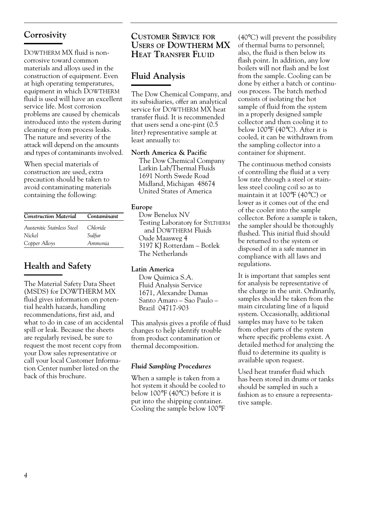## **Corrosivity**

DOWTHERM MX fluid is noncorrosive toward common materials and alloys used in the construction of equipment. Even at high operating temperatures, equipment in which DOWTHERM fluid is used will have an excellent service life. Most corrosion problems are caused by chemicals introduced into the system during cleaning or from process leaks. The nature and severity of the attack will depend on the amounts and types of contaminants involved.

When special materials of construction are used, extra precaution should be taken to avoid contaminating materials containing the following:

| <b>Construction Material</b> | Contaminant     |  |
|------------------------------|-----------------|--|
| Austenitic Stainless Steel   | <i>Chloride</i> |  |
| Nickel                       | Sulfur          |  |
| Copper Alloys                | Ammonia         |  |

## **Health and Safety**

The Material Safety Data Sheet (MSDS) for DOWTHERM MX fluid gives information on potential health hazards, handling recommendations, first aid, and what to do in case of an accidental spill or leak. Because the sheets are regularly revised, be sure to request the most recent copy from your Dow sales representative or call your local Customer Information Center number listed on the back of this brochure.

## **CUSTOMER SERVICE FOR USERS OF DOWTHERM MX HEAT TRANSFER FLUID**

## **Fluid Analysis**

The Dow Chemical Company, and its subsidiaries, offer an analytical service for DOWTHERM MX heat transfer fluid. It is recommended that users send a one-pint (0.5 liter) representative sample at least annually to:

#### **North America & Pacific**

The Dow Chemical Company Larkin Lab/Thermal Fluids 1691 North Swede Road Midland, Michigan 48674 United States of America

#### **Europe**

Dow Benelux NV Testing Laboratory for SYLTHERM and DOWTHERM Fluids Oude Maasweg 4 3197 KJ Rotterdam – Botlek The Netherlands

### **Latin America**

Dow Quimica S.A. Fluid Analysis Service 1671, Alexandre Dumas Santo Amaro – Sao Paulo – Brazil 04717-903

This analysis gives a profile of fluid changes to help identify trouble from product contamination or thermal decomposition.

#### *Fluid Sampling Procedures*

When a sample is taken from a hot system it should be cooled to below 100°F (40°C) before it is put into the shipping container. Cooling the sample below 100°F

(40°C) will prevent the possibility of thermal burns to personnel; also, the fluid is then below its flash point. In addition, any low boilers will not flash and be lost from the sample. Cooling can be done by either a batch or continuous process. The batch method consists of isolating the hot sample of fluid from the system in a properly designed sample collector and then cooling it to below 100°F (40°C). After it is cooled, it can be withdrawn from the sampling collector into a container for shipment.

The continuous method consists of controlling the fluid at a very low rate through a steel or stainless steel cooling coil so as to maintain it at 100°F (40°C) or lower as it comes out of the end of the cooler into the sample collector. Before a sample is taken, the sampler should be thoroughly flushed. This initial fluid should be returned to the system or disposed of in a safe manner in compliance with all laws and regulations.

It is important that samples sent for analysis be representative of the charge in the unit. Ordinarily, samples should be taken from the main circulating line of a liquid system. Occasionally, additional samples may have to be taken from other parts of the system where specific problems exist. A detailed method for analyzing the fluid to determine its quality is available upon request.

Used heat transfer fluid which has been stored in drums or tanks should be sampled in such a fashion as to ensure a representative sample.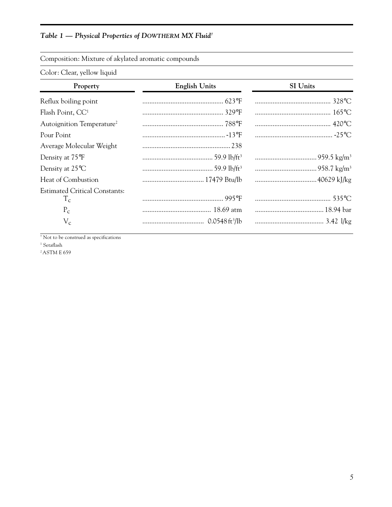## *Table 1 — Physical Properties of DOWTHERM MX Fluid†*

| Composition: Mixture of akylated aromatic compounds |  |  |  |
|-----------------------------------------------------|--|--|--|
|                                                     |  |  |  |

Color: Clear, yellow liquid

| Property                                      | <b>English Units</b> | SI Units |  |  |
|-----------------------------------------------|----------------------|----------|--|--|
| Reflux boiling point                          |                      |          |  |  |
| Flash Point, CC <sup>1</sup>                  |                      |          |  |  |
| Autoignition Temperature <sup>2</sup>         |                      |          |  |  |
| Pour Point                                    |                      |          |  |  |
| Average Molecular Weight                      |                      |          |  |  |
| Density at 75°F                               |                      |          |  |  |
| Density at $25^{\circ}$ C                     |                      |          |  |  |
| Heat of Combustion                            |                      |          |  |  |
| <b>Estimated Critical Constants:</b><br>$T_c$ |                      |          |  |  |
| $P_{\rm c}$                                   |                      |          |  |  |
| $V_c$                                         |                      |          |  |  |

† Not to be construed as specifications

1 Setaflash

<sup>2</sup> ASTM E 659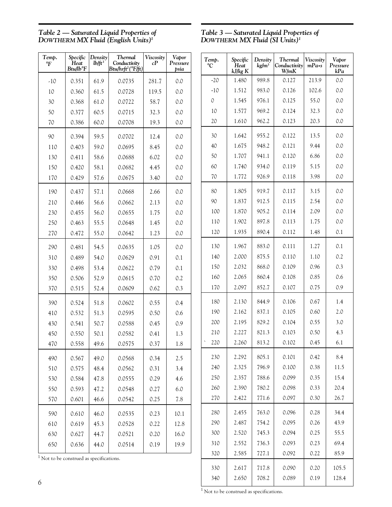*Table 2 — Saturated Liquid Properties of DOWTHERM MX Fluid (English Units)1*

*Table 3 — Saturated Liquid Properties of DOWTHERM MX Fluid (SI Units)1*

*kJ/kg K W/mK kPa*

°*C*

1

*Temp. Specific Density Thermal Viscosity Vapor*

 $-20$  | 1.480 | 989.8 | 0.127 | 213.9 | 0.0  $-10$  | 1.512 | 983.0 | 0.126 | 102.6 | 0.0  $0 \t 1.545 \t 976.1 \t 0.125 \t 55.0 \t 0.0$ 10 | 1.577 | 969.2 | 0.124 | 32.3 | 0.0 20 | 1.610 | 962.2 | 0.123 | 20.3 | 0.0

30 1.642 955.2 0.122 13.5 0.0 40 | 1.675 | 948.2 | 0.121 | 9.44 | 0.0 50 1.707 941.1 0.120 6.86 0.0 60 | 1.740 | 934.0 | 0.119 | 5.15 | 0.0 70 | 1.772 | 926.9 | 0.118 | 3.98 | 0.0

80 | 1.805 | 919.7 | 0.117 | 3.15 | 0.0 90 1.837 912.5 0.115 2.54 0.0 100 | 1.870 | 905.2 | 0.114 | 2.09 | 0.0 110 | 1.902 | 897.8 | 0.113 | 1.75 | 0.0 120 1.935 890.4 0.112 1.48 0.1

*Conductivity* mPa•s Pressure<br>*W*/m*K* kPa

| Temp.<br>$\mathbf{P}$ | Specific<br>Heat<br>Btu/lb°F | Density<br>$lb$ ft <sup>3</sup> | <b>Thermal</b><br>Conductivity<br>Btu/hrft <sup>2</sup> (°F/ft) | Viscosity<br>cР | Vapor<br>Pressure<br>psia |
|-----------------------|------------------------------|---------------------------------|-----------------------------------------------------------------|-----------------|---------------------------|
| $-10$                 | 0.351                        | 61.9                            | 0.0735                                                          | 281.7           | 0.0                       |
| 10                    | 0.360                        | 61.5                            | 0.0728                                                          | 119.5           | 0.0                       |
| 30                    | 0.368                        | 61.0                            | 0.0722                                                          | 58.7            | 0.0                       |
| 50                    | 0.377                        | 60.5                            | 0.0715                                                          | 32.3            | 0.0                       |
| 70                    | 0.386                        | 60.0                            | 0.0708                                                          | 19.3            | 0.0                       |
| 90                    | 0.394                        | 59.5                            | 0.0702                                                          | 12.4            | 0.0                       |
| 110                   | 0.403                        | 59.0                            | 0.0695                                                          | 8.45            | 0.0                       |
| 130                   | 0.411                        | 58.6                            | 0.0688                                                          | 6.02            | 0.0                       |
| 150                   | 0.420                        | 58.1                            | 0.0682                                                          | 4.45            | 0.0                       |
| 170                   | 0.429                        | 57.6                            | 0.0675                                                          | 3.40            | 0.0                       |
| 190                   | 0.437                        | 57.1                            | 0.0668                                                          | 2.66            | 0.0                       |
| 210                   | 0.446                        | 56.6                            | 0.0662                                                          | 2.13            | 0.0                       |
| 230                   | 0.455                        | 56.0                            | 0.0655                                                          | 1.75            | 0.0                       |
| 250                   | 0.463                        | 55.5                            | 0.0648                                                          | 1.45            | 0.0                       |
| 270                   | 0.472                        | 55.0                            | 0.0642                                                          | 1.23            | 0.0                       |
| 290                   | 0.481                        | 54.5                            | 0.0635                                                          | 1.05            | 0.0                       |
| 310                   | 0.489                        | 54.0                            | 0.0629                                                          | 0.91            | 0.1                       |
| 330                   | 0.498                        | 53.4                            | 0.0622                                                          | 0.79            | 0.1                       |
| 350                   | 0.506                        | 52.9                            | 0.0615                                                          | 0.70            | 0.2                       |
| 370                   | 0.515                        | 52.4                            | 0.0609                                                          | 0.62            | 0.3                       |
| 390                   | 0.524                        | 51.8                            | 0.0602                                                          | 0.55            | 0.4                       |
| 410                   | 0.532                        | 51.3                            | 0.0595                                                          | 0.50            | 0.6                       |
| 430                   | 0.541                        | 50.7                            | 0.0588                                                          | 0.45            | 0.9                       |
| 450                   | 0.550                        | 50.1                            | 0.0582                                                          | 0.41            | 1.3                       |
| 470                   | 0.558                        | 49.6                            | 0.0575                                                          | 0.37            | 1.8                       |
| 490                   | 0.567                        | 49.0                            | 0.0568                                                          | 0.34            | 2.5                       |
| 510                   | 0.575                        | 48.4                            | 0.0562                                                          | 0.31            | 3.4                       |
| 530                   | 0.584                        | 47.8                            | 0.0555                                                          | 0.29            | 4.6                       |
| 550                   | 0.593                        | 47.2                            | 0.0548                                                          | 0.27            | $6.0$                     |
| 570                   | 0.601                        | 46.6                            | 0.0542                                                          | 0.25            | 7.8                       |
| 590                   | 0.610                        | 46.0                            | 0.0535                                                          | 0.23            | 10.1                      |
| 610                   | 0.619                        | 45.3                            | 0.0528                                                          | 0.22            | 12.8                      |
| 630                   | 0.627                        | 44.7                            | 0.0521                                                          | 0.20            | 16.0                      |
| 650                   | 0.636                        | 44.0                            | 0.0514                                                          | 0.19            | 19.9                      |

| 130                                    | 1.967 | 883.0 | 0.111 | 1.27 | 0.1   |  |
|----------------------------------------|-------|-------|-------|------|-------|--|
| 140                                    | 2.000 | 875.5 | 0.110 | 1.10 | 0.2   |  |
| 150                                    | 2.032 | 868.0 | 0.109 | 0.96 | 0.3   |  |
| 160                                    | 2.065 | 860.4 | 0.108 | 0.85 | 0.6   |  |
| 170                                    | 2.097 | 852.7 | 0.107 | 0.75 | 0.9   |  |
| 180                                    | 2.130 | 844.9 | 0.106 | 0.67 | 1.4   |  |
| 190                                    | 2.162 | 837.1 | 0.105 | 0.60 | 2.0   |  |
| 200                                    | 2.195 | 829.2 | 0.104 | 0.55 | 3.0   |  |
| 210                                    | 2.227 | 821.3 | 0.103 | 0.50 | 4.3   |  |
| 220                                    | 2.260 | 813.2 | 0.102 | 0.45 | 6.1   |  |
| 230                                    | 2.292 | 805.1 | 0.101 | 0.42 | 8.4   |  |
| 240                                    | 2.325 | 796.9 | 0.100 | 0.38 | 11.5  |  |
| 250                                    | 2.357 | 788.6 | 0.099 | 0.35 | 15.4  |  |
| 260                                    | 2.390 | 780.2 | 0.098 | 0.33 | 20.4  |  |
| 270                                    | 2.422 | 771.6 | 0.097 | 0.30 | 26.7  |  |
| 280                                    | 2.455 | 763.0 | 0.096 | 0.28 | 34.4  |  |
| 290                                    | 2.487 | 754.2 | 0.095 | 0.26 | 43.9  |  |
| 300                                    | 2.520 | 745.3 | 0.094 | 0.25 | 55.5  |  |
| 310                                    | 2.552 | 736.3 | 0.093 | 0.23 | 69.4  |  |
| 320                                    | 2.585 | 727.1 | 0.092 | 0.22 | 85.9  |  |
| 330                                    | 2.617 | 717.8 | 0.090 | 0.20 | 105.5 |  |
| 340                                    | 2.650 | 708.2 | 0.089 | 0.19 | 128.4 |  |
| Not to be construed as specifications. |       |       |       |      |       |  |

 $1$  Not to be construed as specifications.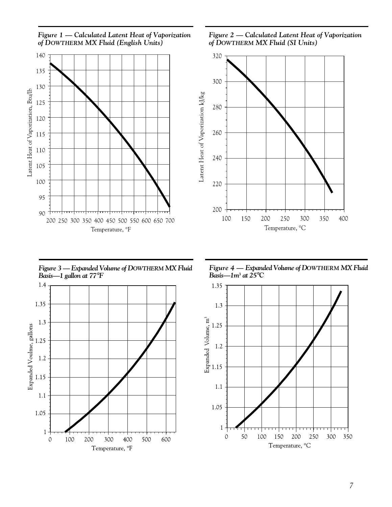

*Figure 2 — Calculated Latent Heat of Vaporization of DOWTHERM MX Fluid (SI Units)*



*Figure 3 — Expanded Volume of DOWTHERM MX Fluid Basis—1 gallon at 77*°*F*



*Figure 4 — Expanded Volume of DOWTHERM MX Fluid Basis—1m3 at 25*°*C*

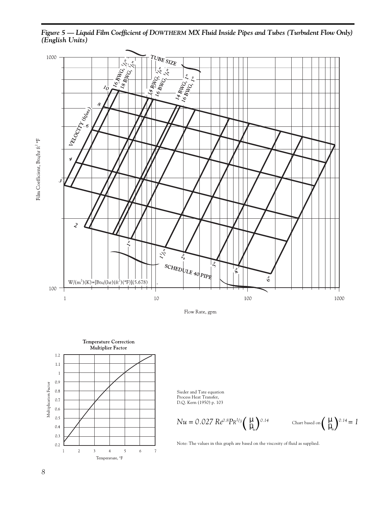*Figure 5 — Liquid Film Coefficient of DOWTHERM MX Fluid Inside Pipes and Tubes (Turbulent Flow Only) (English Units)*







Sieder and Tate equation Process Heat Transfer, D.Q. Kern (1950) p. 103

$$
Nu = 0.027 \, Re^{0.8} Pr^{1/3} \left(\frac{\mu}{\mu_w}\right)^{0.14} \qquad \text{Char based on } \left(\frac{\mu}{\mu_w}\right)^{0.14} = 1
$$

Note: The values in this graph are based on the viscosity of fluid as supplied.

Film Coefficient, Btu/hr  $\operatorname{\sf ft}^2$ °F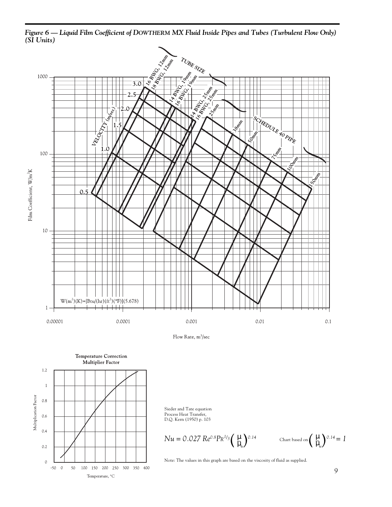

*Figure 6 — Liquid Film Coefficient of DOWTHERM MX Fluid Inside Pipes and Tubes (Turbulent Flow Only) (SI Units)*

Process Heat Transfer, D.Q. Kern (1950) p. 103

 $0.6$ 

 $0.4$ 

 $0.2$ 

 $\circ$  $-50 - 0$ 

50

100 150 200 250 300 350 400

Temperature, °C

$$
Nu = 0.027 \, Re^{0.8} Pr^{1/3} \left(\frac{\mu}{\mu_{w}}\right)^{0.14}
$$

 $\left(\frac{\mu}{\mu_{w}}\right)^{0.14}$  Chart based on  $\left(\frac{\mu}{\mu_{w}}\right)^{0.14} = 1$ µ*w*

Note: The values in this graph are based on the viscosity of fluid as supplied.

*9*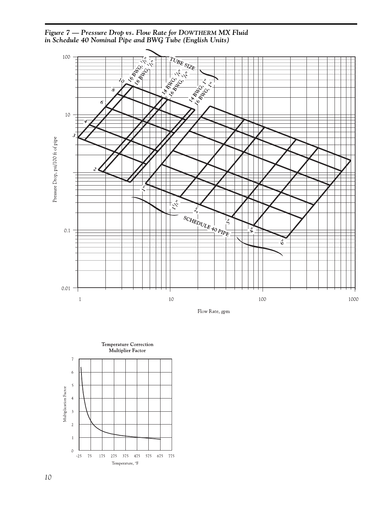*Figure 7 — Pressure Drop vs. Flow Rate for DOWTHERM MX Fluid in Schedule 40 Nominal Pipe and BWG Tube (English Units)*



Flow Rate, gpm

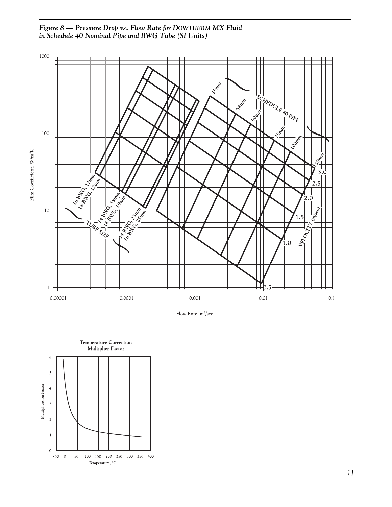



Flow Rate, m<sup>3</sup>/sec